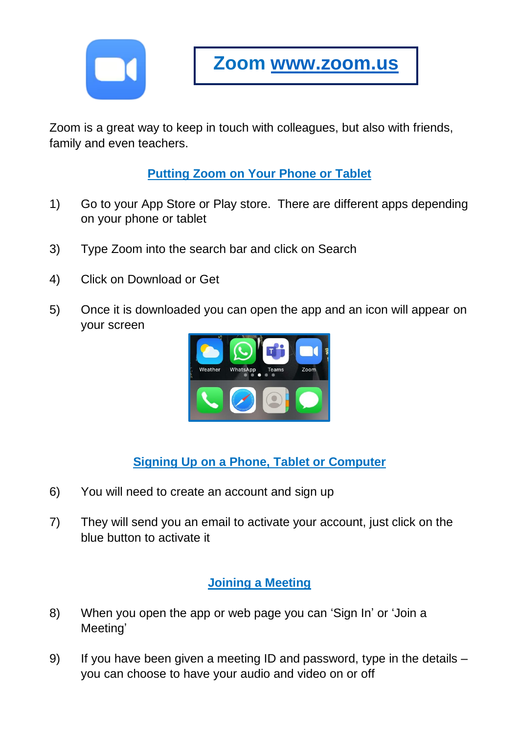

Zoom is a great way to keep in touch with colleagues, but also with friends, family and even teachers.

**Putting Zoom on Your Phone or Tablet**

- 1) Go to your App Store or Play store. There are different apps depending on your phone or tablet
- 3) Type Zoom into the search bar and click on Search
- 4) Click on Download or Get
- 5) Once it is downloaded you can open the app and an icon will appear on your screen



**Signing Up on a Phone, Tablet or Computer**

- 6) You will need to create an account and sign up
- 7) They will send you an email to activate your account, just click on the blue button to activate it

## **Joining a Meeting**

- 8) When you open the app or web page you can 'Sign In' or 'Join a Meeting'
- 9) If you have been given a meeting ID and password, type in the details you can choose to have your audio and video on or off